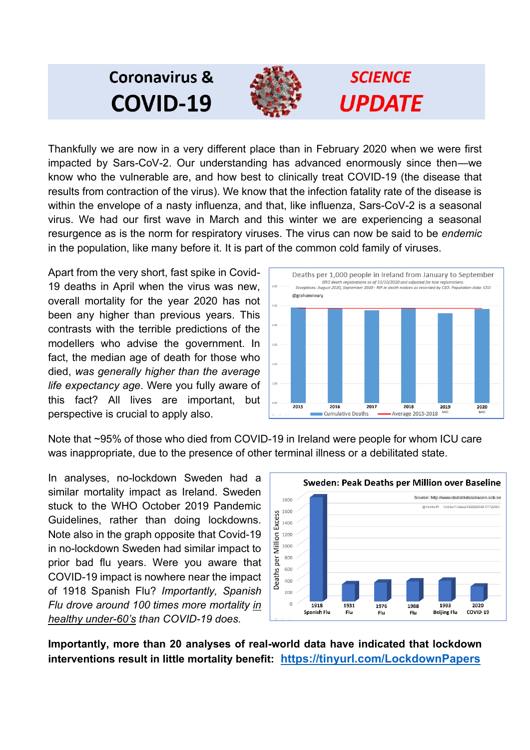## **Coronavirus & COVID-19**



# **SCIENCE UPDATE**

Thankfully we are now in a very different place than in February 2020 when we were first impacted by Sars-CoV-2. Our understanding has advanced enormously since then—we know who the vulnerable are, and how best to clinically treat COVID-19 (the disease that results from contraction of the virus). We know that the infection fatality rate of the disease is within the envelope of a nasty influenza, and that, like influenza, Sars-CoV-2 is a seasonal virus. We had our first wave in March and this winter we are experiencing a seasonal resurgence as is the norm for respiratory viruses. The virus can now be said to be *endemic* in the population, like many before it. It is part of the common cold family of viruses.

Apart from the very short, fast spike in Covid-19 deaths in April when the virus was new, overall mortality for the year 2020 has not been any higher than previous years. This contrasts with the terrible predictions of the modellers who advise the government. In fact, the median age of death for those who died, *was generally higher than the average life expectancy age*. Were you fully aware of this fact? All lives are important, but perspective is crucial to apply also.



Note that ~95% of those who died from COVID-19 in Ireland were people for whom ICU care was inappropriate, due to the presence of other terminal illness or a debilitated state.

In analyses, no-lockdown Sweden had a similar mortality impact as Ireland. Sweden stuck to the WHO October 2019 Pandemic Guidelines, rather than doing lockdowns. Note also in the graph opposite that Covid-19 in no-lockdown Sweden had similar impact to prior bad flu years. Were you aware that COVID-19 impact is nowhere near the impact of 1918 Spanish Flu? *Importantly, Spanish Flu drove around 100 times more mortality in healthy under-60's than COVID-19 does.*



**Importantly, more than 20 analyses of real-world data have indicated that lockdown interventions result in little mortality benefit: <https://tinyurl.com/LockdownPapers>**